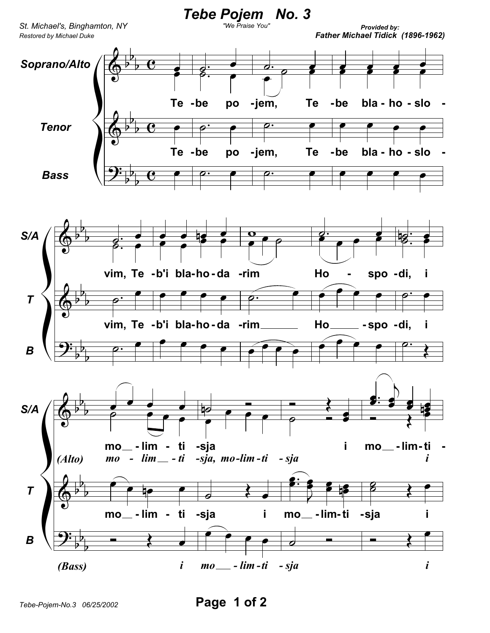

*Tebe-Pojem-No.3 06/25/2002* **Page 1 of 2**